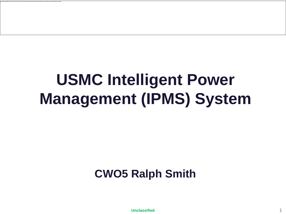## uN **USMC Intelligent Power Management (IPMS) System**

## **CWO5 Ralph Smith**

**Unclassified**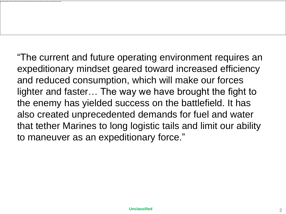the enemy has yielded success on the battlefield. It has "The current and future operating environment requires an expeditionary mindset geared toward increased efficiency and reduced consumption, which will make our forces lighter and faster… The way we have brought the fight to also created unprecedented demands for fuel and water that tether Marines to long logistic tails and limit our ability to maneuver as an expeditionary force."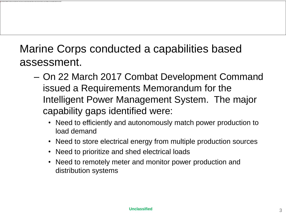## Marine Corps conducted a capabilities based assessment.

- capability gaps identified were: – On 22 March 2017 Combat Development Command issued a Requirements Memorandum for the Intelligent Power Management System. The major
	- Need to efficiently and autonomously match power production to load demand
	- Need to store electrical energy from multiple production sources
	- Need to prioritize and shed electrical loads
	- Need to remotely meter and monitor power production and distribution systems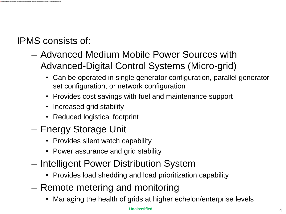#### IPMS consists of:

#### – Advanced Medium Mobile Power Sources with Advanced-Digital Control Systems (Micro-grid)

- Can be operated in single generator configuration, parallel generator set configuration, or network configuration
- Provides cost savings with fuel and maintenance support
- Increased grid stability
- Reduced logistical footprint
- Energy Storage Unit
	- Provides silent watch capability
	- Power assurance and grid stability
- Intelligent Power Distribution System
	- Provides load shedding and load prioritization capability
- Remote metering and monitoring
	- Managing the health of grids at higher echelon/enterprise levels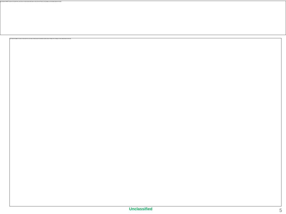| OWES BERRE TO ORDER HE RESIDE ROUD RIRING DOWN THE RELEASE THE RESIDENCE PRIDE OF DRIVE, WORK WAS THE REGILT TO HE CORRENTED WITH CHARGE DOWN THE RESIDENT PRESENT FREE RESIDENCE. |  |
|------------------------------------------------------------------------------------------------------------------------------------------------------------------------------------|--|
|                                                                                                                                                                                    |  |
|                                                                                                                                                                                    |  |
|                                                                                                                                                                                    |  |
|                                                                                                                                                                                    |  |
|                                                                                                                                                                                    |  |
|                                                                                                                                                                                    |  |
|                                                                                                                                                                                    |  |
|                                                                                                                                                                                    |  |
|                                                                                                                                                                                    |  |
|                                                                                                                                                                                    |  |
|                                                                                                                                                                                    |  |
|                                                                                                                                                                                    |  |
|                                                                                                                                                                                    |  |
|                                                                                                                                                                                    |  |
|                                                                                                                                                                                    |  |
|                                                                                                                                                                                    |  |
|                                                                                                                                                                                    |  |
|                                                                                                                                                                                    |  |
|                                                                                                                                                                                    |  |
|                                                                                                                                                                                    |  |
|                                                                                                                                                                                    |  |
|                                                                                                                                                                                    |  |
|                                                                                                                                                                                    |  |
|                                                                                                                                                                                    |  |
|                                                                                                                                                                                    |  |
|                                                                                                                                                                                    |  |
|                                                                                                                                                                                    |  |
|                                                                                                                                                                                    |  |
|                                                                                                                                                                                    |  |
|                                                                                                                                                                                    |  |
|                                                                                                                                                                                    |  |
|                                                                                                                                                                                    |  |
|                                                                                                                                                                                    |  |
|                                                                                                                                                                                    |  |
|                                                                                                                                                                                    |  |
|                                                                                                                                                                                    |  |
|                                                                                                                                                                                    |  |
|                                                                                                                                                                                    |  |
|                                                                                                                                                                                    |  |
|                                                                                                                                                                                    |  |
|                                                                                                                                                                                    |  |
|                                                                                                                                                                                    |  |
|                                                                                                                                                                                    |  |
|                                                                                                                                                                                    |  |
|                                                                                                                                                                                    |  |
|                                                                                                                                                                                    |  |
|                                                                                                                                                                                    |  |
|                                                                                                                                                                                    |  |
|                                                                                                                                                                                    |  |
|                                                                                                                                                                                    |  |
|                                                                                                                                                                                    |  |
|                                                                                                                                                                                    |  |
|                                                                                                                                                                                    |  |
|                                                                                                                                                                                    |  |
|                                                                                                                                                                                    |  |
|                                                                                                                                                                                    |  |
|                                                                                                                                                                                    |  |
|                                                                                                                                                                                    |  |
|                                                                                                                                                                                    |  |
|                                                                                                                                                                                    |  |
|                                                                                                                                                                                    |  |
|                                                                                                                                                                                    |  |
|                                                                                                                                                                                    |  |
|                                                                                                                                                                                    |  |
|                                                                                                                                                                                    |  |
|                                                                                                                                                                                    |  |
|                                                                                                                                                                                    |  |
|                                                                                                                                                                                    |  |
|                                                                                                                                                                                    |  |
|                                                                                                                                                                                    |  |
|                                                                                                                                                                                    |  |
|                                                                                                                                                                                    |  |
|                                                                                                                                                                                    |  |
|                                                                                                                                                                                    |  |
|                                                                                                                                                                                    |  |
|                                                                                                                                                                                    |  |
|                                                                                                                                                                                    |  |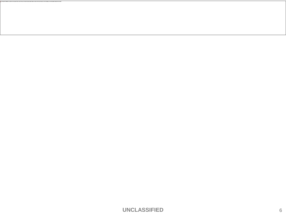**UNCLASSIFIED**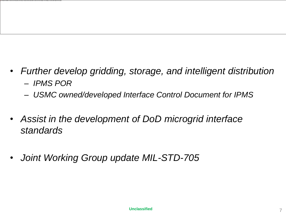- *Further develop gridding, storage, and intelligent distribution*
	- *IPMS POR*
	- *USMC owned/developed Interface Control Document for IPMS*
- *Assist in the development of DoD microgrid interface standards*
- *Joint Working Group update MIL-STD-705*